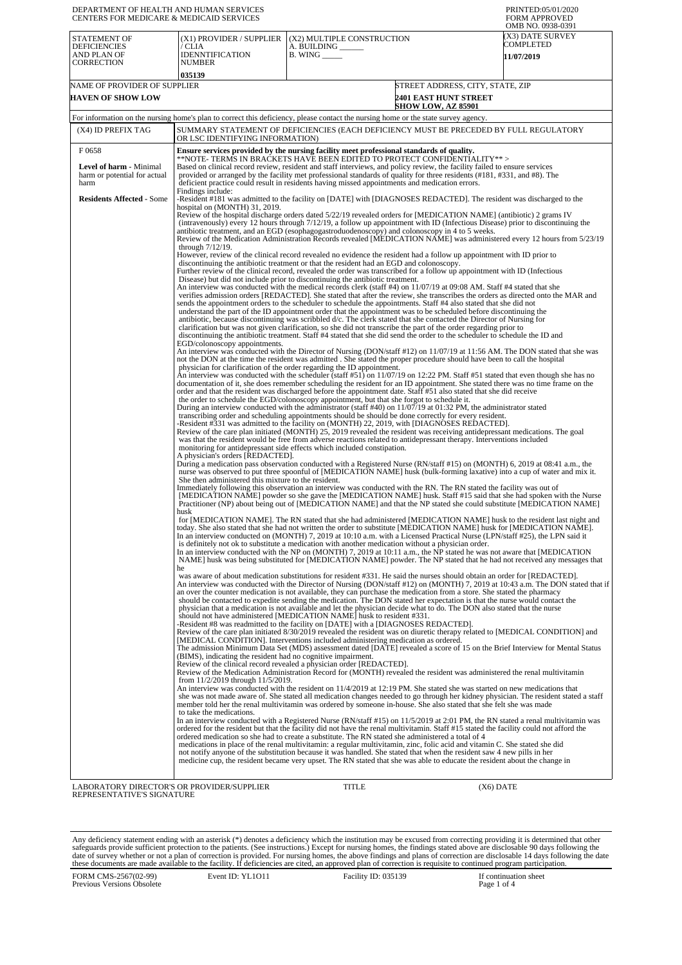| DEPARTMENT OF HEALTH AND HUMAN SERVICES<br>CENTERS FOR MEDICARE & MEDICAID SERVICES |                                                                                                                                                                                                                                                                                                                                                                                                                                                                                                                                                                                                                                                                                                                                                                                                                                                                                                                                                                                                                                                                                                                                                                                                                                                                                                                                                                                                                                                                                                                                                                                                                                                                                                                                                                                                                                                                                                                                                                                                                                                                                                                                                                                                                                                                                                                                                                                                                                                                                                                                                                                                                                                                                                                                                                                                                                                                                                                                                                                                                                                                                                                                                                                                                                                                                                                                                                                                                                                                                                                                                                                                                                                                                                                                                                                                                                                                                                                                                                                                                                                                                                                                                                                                                                                                                                                                                                                                                                                                                                                                                                                                                                                                                                                                                                                                                                                                                                                                                                                                                                                                                                                                                                                                                                                                                                                                                                                                                                                                                                                                                                                                                                                                                                                                                                                                                                                                                                                                                                                                                                                                                                                                                                                                                                                                                                                                                                                                                                                                                                                                                                                                                                                                                                                                                                                                                                                                                                                                                                                                                                                                                                                                                                                                                                                                                                                                                                                                                                                                                                                                                                                                    |                                                                                                                                                                                                                                                     | PRINTED:05/01/2020<br><b>FORM APPROVED</b>                       |  |  |
|-------------------------------------------------------------------------------------|----------------------------------------------------------------------------------------------------------------------------------------------------------------------------------------------------------------------------------------------------------------------------------------------------------------------------------------------------------------------------------------------------------------------------------------------------------------------------------------------------------------------------------------------------------------------------------------------------------------------------------------------------------------------------------------------------------------------------------------------------------------------------------------------------------------------------------------------------------------------------------------------------------------------------------------------------------------------------------------------------------------------------------------------------------------------------------------------------------------------------------------------------------------------------------------------------------------------------------------------------------------------------------------------------------------------------------------------------------------------------------------------------------------------------------------------------------------------------------------------------------------------------------------------------------------------------------------------------------------------------------------------------------------------------------------------------------------------------------------------------------------------------------------------------------------------------------------------------------------------------------------------------------------------------------------------------------------------------------------------------------------------------------------------------------------------------------------------------------------------------------------------------------------------------------------------------------------------------------------------------------------------------------------------------------------------------------------------------------------------------------------------------------------------------------------------------------------------------------------------------------------------------------------------------------------------------------------------------------------------------------------------------------------------------------------------------------------------------------------------------------------------------------------------------------------------------------------------------------------------------------------------------------------------------------------------------------------------------------------------------------------------------------------------------------------------------------------------------------------------------------------------------------------------------------------------------------------------------------------------------------------------------------------------------------------------------------------------------------------------------------------------------------------------------------------------------------------------------------------------------------------------------------------------------------------------------------------------------------------------------------------------------------------------------------------------------------------------------------------------------------------------------------------------------------------------------------------------------------------------------------------------------------------------------------------------------------------------------------------------------------------------------------------------------------------------------------------------------------------------------------------------------------------------------------------------------------------------------------------------------------------------------------------------------------------------------------------------------------------------------------------------------------------------------------------------------------------------------------------------------------------------------------------------------------------------------------------------------------------------------------------------------------------------------------------------------------------------------------------------------------------------------------------------------------------------------------------------------------------------------------------------------------------------------------------------------------------------------------------------------------------------------------------------------------------------------------------------------------------------------------------------------------------------------------------------------------------------------------------------------------------------------------------------------------------------------------------------------------------------------------------------------------------------------------------------------------------------------------------------------------------------------------------------------------------------------------------------------------------------------------------------------------------------------------------------------------------------------------------------------------------------------------------------------------------------------------------------------------------------------------------------------------------------------------------------------------------------------------------------------------------------------------------------------------------------------------------------------------------------------------------------------------------------------------------------------------------------------------------------------------------------------------------------------------------------------------------------------------------------------------------------------------------------------------------------------------------------------------------------------------------------------------------------------------------------------------------------------------------------------------------------------------------------------------------------------------------------------------------------------------------------------------------------------------------------------------------------------------------------------------------------------------------------------------------------------------------------------------------------------------------------------------------------------------------------------------------------------------------------------------------------------------------------------------------------------------------------------------------------------------------------------------------------------------------------------------------------------------------------------------------------------------------------------------------------------------------------------------------------------------------------------------------------------------------------------------------------------|-----------------------------------------------------------------------------------------------------------------------------------------------------------------------------------------------------------------------------------------------------|------------------------------------------------------------------|--|--|
| <b>STATEMENT OF</b><br><b>DEFICIENCIES</b><br>AND PLAN OF<br>CORRECTION             | (X1) PROVIDER / SUPPLIER<br>/ CLIA<br><b>IDENNTIFICATION</b><br><b>NUMBER</b><br>035139                                                                                                                                                                                                                                                                                                                                                                                                                                                                                                                                                                                                                                                                                                                                                                                                                                                                                                                                                                                                                                                                                                                                                                                                                                                                                                                                                                                                                                                                                                                                                                                                                                                                                                                                                                                                                                                                                                                                                                                                                                                                                                                                                                                                                                                                                                                                                                                                                                                                                                                                                                                                                                                                                                                                                                                                                                                                                                                                                                                                                                                                                                                                                                                                                                                                                                                                                                                                                                                                                                                                                                                                                                                                                                                                                                                                                                                                                                                                                                                                                                                                                                                                                                                                                                                                                                                                                                                                                                                                                                                                                                                                                                                                                                                                                                                                                                                                                                                                                                                                                                                                                                                                                                                                                                                                                                                                                                                                                                                                                                                                                                                                                                                                                                                                                                                                                                                                                                                                                                                                                                                                                                                                                                                                                                                                                                                                                                                                                                                                                                                                                                                                                                                                                                                                                                                                                                                                                                                                                                                                                                                                                                                                                                                                                                                                                                                                                                                                                                                                                                            | (X2) MULTIPLE CONSTRUCTION<br>A. BUILDING<br>$B.$ WING $\_\_\_\_\_\_\_\$                                                                                                                                                                            | OMB NO. 0938-0391<br>(X3) DATE SURVEY<br>COMPLETED<br>11/07/2019 |  |  |
| NAME OF PROVIDER OF SUPPLIER                                                        |                                                                                                                                                                                                                                                                                                                                                                                                                                                                                                                                                                                                                                                                                                                                                                                                                                                                                                                                                                                                                                                                                                                                                                                                                                                                                                                                                                                                                                                                                                                                                                                                                                                                                                                                                                                                                                                                                                                                                                                                                                                                                                                                                                                                                                                                                                                                                                                                                                                                                                                                                                                                                                                                                                                                                                                                                                                                                                                                                                                                                                                                                                                                                                                                                                                                                                                                                                                                                                                                                                                                                                                                                                                                                                                                                                                                                                                                                                                                                                                                                                                                                                                                                                                                                                                                                                                                                                                                                                                                                                                                                                                                                                                                                                                                                                                                                                                                                                                                                                                                                                                                                                                                                                                                                                                                                                                                                                                                                                                                                                                                                                                                                                                                                                                                                                                                                                                                                                                                                                                                                                                                                                                                                                                                                                                                                                                                                                                                                                                                                                                                                                                                                                                                                                                                                                                                                                                                                                                                                                                                                                                                                                                                                                                                                                                                                                                                                                                                                                                                                                                                                                                                    |                                                                                                                                                                                                                                                     | STREET ADDRESS, CITY, STATE, ZIP                                 |  |  |
| <b>HAVEN OF SHOW LOW</b>                                                            |                                                                                                                                                                                                                                                                                                                                                                                                                                                                                                                                                                                                                                                                                                                                                                                                                                                                                                                                                                                                                                                                                                                                                                                                                                                                                                                                                                                                                                                                                                                                                                                                                                                                                                                                                                                                                                                                                                                                                                                                                                                                                                                                                                                                                                                                                                                                                                                                                                                                                                                                                                                                                                                                                                                                                                                                                                                                                                                                                                                                                                                                                                                                                                                                                                                                                                                                                                                                                                                                                                                                                                                                                                                                                                                                                                                                                                                                                                                                                                                                                                                                                                                                                                                                                                                                                                                                                                                                                                                                                                                                                                                                                                                                                                                                                                                                                                                                                                                                                                                                                                                                                                                                                                                                                                                                                                                                                                                                                                                                                                                                                                                                                                                                                                                                                                                                                                                                                                                                                                                                                                                                                                                                                                                                                                                                                                                                                                                                                                                                                                                                                                                                                                                                                                                                                                                                                                                                                                                                                                                                                                                                                                                                                                                                                                                                                                                                                                                                                                                                                                                                                                                                    | <b>2401 EAST HUNT STREET</b><br><b>SHOW LOW, AZ 85901</b>                                                                                                                                                                                           |                                                                  |  |  |
|                                                                                     |                                                                                                                                                                                                                                                                                                                                                                                                                                                                                                                                                                                                                                                                                                                                                                                                                                                                                                                                                                                                                                                                                                                                                                                                                                                                                                                                                                                                                                                                                                                                                                                                                                                                                                                                                                                                                                                                                                                                                                                                                                                                                                                                                                                                                                                                                                                                                                                                                                                                                                                                                                                                                                                                                                                                                                                                                                                                                                                                                                                                                                                                                                                                                                                                                                                                                                                                                                                                                                                                                                                                                                                                                                                                                                                                                                                                                                                                                                                                                                                                                                                                                                                                                                                                                                                                                                                                                                                                                                                                                                                                                                                                                                                                                                                                                                                                                                                                                                                                                                                                                                                                                                                                                                                                                                                                                                                                                                                                                                                                                                                                                                                                                                                                                                                                                                                                                                                                                                                                                                                                                                                                                                                                                                                                                                                                                                                                                                                                                                                                                                                                                                                                                                                                                                                                                                                                                                                                                                                                                                                                                                                                                                                                                                                                                                                                                                                                                                                                                                                                                                                                                                                                    |                                                                                                                                                                                                                                                     |                                                                  |  |  |
| (X4) ID PREFIX TAG                                                                  | SUMMARY STATEMENT OF DEFICIENCIES (EACH DEFICIENCY MUST BE PRECEDED BY FULL REGULATORY<br>OR LSC IDENTIFYING INFORMATION)                                                                                                                                                                                                                                                                                                                                                                                                                                                                                                                                                                                                                                                                                                                                                                                                                                                                                                                                                                                                                                                                                                                                                                                                                                                                                                                                                                                                                                                                                                                                                                                                                                                                                                                                                                                                                                                                                                                                                                                                                                                                                                                                                                                                                                                                                                                                                                                                                                                                                                                                                                                                                                                                                                                                                                                                                                                                                                                                                                                                                                                                                                                                                                                                                                                                                                                                                                                                                                                                                                                                                                                                                                                                                                                                                                                                                                                                                                                                                                                                                                                                                                                                                                                                                                                                                                                                                                                                                                                                                                                                                                                                                                                                                                                                                                                                                                                                                                                                                                                                                                                                                                                                                                                                                                                                                                                                                                                                                                                                                                                                                                                                                                                                                                                                                                                                                                                                                                                                                                                                                                                                                                                                                                                                                                                                                                                                                                                                                                                                                                                                                                                                                                                                                                                                                                                                                                                                                                                                                                                                                                                                                                                                                                                                                                                                                                                                                                                                                                                                          |                                                                                                                                                                                                                                                     |                                                                  |  |  |
| F0658<br><b>Level of harm - Minimal</b><br>harm or potential for actual<br>harm     | Ensure services provided by the nursing facility meet professional standards of quality.<br>**NOTE- TERMS IN BRACKETS HAVE BEEN EDITED TO PROTECT CONFIDENTIALITY**><br>Based on clinical record review, resident and staff interviews, and policy review, the facility failed to ensure services<br>provided or arranged by the facility met professional standards of quality for three residents (#181, #331, and #8). The<br>deficient practice could result in residents having missed appointments and medication errors.                                                                                                                                                                                                                                                                                                                                                                                                                                                                                                                                                                                                                                                                                                                                                                                                                                                                                                                                                                                                                                                                                                                                                                                                                                                                                                                                                                                                                                                                                                                                                                                                                                                                                                                                                                                                                                                                                                                                                                                                                                                                                                                                                                                                                                                                                                                                                                                                                                                                                                                                                                                                                                                                                                                                                                                                                                                                                                                                                                                                                                                                                                                                                                                                                                                                                                                                                                                                                                                                                                                                                                                                                                                                                                                                                                                                                                                                                                                                                                                                                                                                                                                                                                                                                                                                                                                                                                                                                                                                                                                                                                                                                                                                                                                                                                                                                                                                                                                                                                                                                                                                                                                                                                                                                                                                                                                                                                                                                                                                                                                                                                                                                                                                                                                                                                                                                                                                                                                                                                                                                                                                                                                                                                                                                                                                                                                                                                                                                                                                                                                                                                                                                                                                                                                                                                                                                                                                                                                                                                                                                                                                    |                                                                                                                                                                                                                                                     |                                                                  |  |  |
| <b>Residents Affected - Some</b>                                                    | For information on the nursing home's plan to correct this deficiency, please contact the nursing home or the state survey agency.<br>Findings include:<br>-Resident #181 was admitted to the facility on [DATE] with [DIAGNOSES REDACTED]. The resident was discharged to the<br>hospital on (MONTH) 31, 2019.<br>Review of the hospital discharge orders dated 5/22/19 revealed orders for [MEDICATION NAME] (antibiotic) 2 grams IV<br>(intravenously) every 12 hours through 7/12/19, a follow up appointment with ID (Infectious Disease) prior to discontinuing the<br>antibiotic treatment, and an EGD (esophagogastroduodenoscopy) and colonoscopy in 4 to 5 weeks.<br>Review of the Medication Administration Records revealed [MEDICATION NAME] was administered every 12 hours from 5/23/19<br>through $7/12/19$ .<br>However, review of the clinical record revealed no evidence the resident had a follow up appointment with ID prior to<br>discontinuing the antibiotic treatment or that the resident had an EGD and colonescopy.<br>Further review of the clinical record, revealed the order was transcribed for a follow up appointment with ID (Infectious<br>Disease) but did not include prior to discontinuing the antibiotic treatment.<br>An interview was conducted with the medical records clerk (staff #4) on 11/07/19 at 09:08 AM. Staff #4 stated that she<br>verifies admission orders [REDACTED]. She stated that after the review, she transcribes the orders as directed onto the MAR and<br>sends the appointment orders to the scheduler to schedule the appointments. Staff #4 also stated that she did not<br>understand the part of the ID appointment order that the appointment was to be scheduled before discontinuing the<br>antibiotic, because discontinuing was scribbled d/c. The clerk stated that she contacted the Director of Nursing for<br>clarification but was not given clarification, so she did not transcribe the part of the order regarding prior to<br>discontinuing the antibiotic treatment. Staff #4 stated that she did send the order to the scheduler to schedule the ID and<br>EGD/colonoscopy appointments.<br>An interview was conducted with the Director of Nursing (DON/staff #12) on 11/07/19 at 11:56 AM. The DON stated that she was<br>not the DON at the time the resident was admitted. She stated the proper procedure should have been to call the hospital<br>physician for clarification of the order regarding the ID appointment.<br>An interview was conducted with the scheduler (staff #51) on 11/07/19 on 12:22 PM. Staff #51 stated that even though she has no<br>documentation of it, she does remember scheduling the resident for an ID appointment. She stated there was no time frame on the<br>order and that the resident was discharged before the appointment date. Staff #51 also stated that she did receive<br>the order to schedule the EGD/colonoscopy appointment, but that she forgot to schedule it.<br>During an interview conducted with the administrator (staff #40) on 11/07/19 at 01:32 PM, the administrator stated<br>transcribing order and scheduling appointments should be should be done correctly for every resident.<br>-Resident #331 was admitted to the facility on (MONTH) 22, 2019, with [DIAGNOSES REDACTED].<br>Review of the care plan initiated (MONTH) 25, 2019 revealed the resident was receiving antidepressant medications. The goal<br>was that the resident would be free from adverse reactions related to antidepressant therapy. Interventions included<br>monitoring for antidepressant side effects which included constipation.<br>A physician's orders [REDACTED].<br>During a medication pass observation conducted with a Registered Nurse (RN/staff #15) on (MONTH) 6, 2019 at 08:41 a.m., the<br>nurse was observed to put three spoonful of [MEDICATION NAME] husk (bulk-forming laxative) into a cup of water and mix it.<br>She then administered this mixture to the resident.<br>Immediately following this observation an interview was conducted with the RN. The RN stated the facility was out of<br>[MEDICATION NAME] powder so she gave the [MEDICATION NAME] husk. Staff #15 said that she had spoken with the Nurse<br>Practitioner (NP) about being out of [MEDICATION NAME] and that the NP stated she could substitute [MEDICATION NAME]<br>husk<br>for [MEDICATION NAME]. The RN stated that she had administered [MEDICATION NAME] husk to the resident last night and<br>today. She also stated that she had not written the order to substitute [MEDICATION NAME] husk for [MEDICATION NAME].<br>In an interview conducted on (MONTH) 7, 2019 at 10:10 a.m. with a Licensed Practical Nurse (LPN/staff #25), the LPN said it<br>is definitely not ok to substitute a medication with another medication without a physician order.<br>In an interview conducted with the NP on (MONTH) 7, 2019 at 10:11 a.m., the NP stated he was not aware that [MEDICATION<br>NAME] husk was being substituted for [MEDICATION NAME] powder. The NP stated that he had not received any messages that<br>he<br>was aware of about medication substitutions for resident #331. He said the nurses should obtain an order for [REDACTED].<br>An interview was conducted with the Director of Nursing (DON/staff #12) on (MONTH) 7, 2019 at 10:43 a.m. The DON stated that if<br>an over the counter medication is not available, they can purchase the medication from a store. She stated the pharmacy<br>should be contacted to expedite sending the medication. The DON stated her expectation is that the nurse would contact the<br>physician that a medication is not available and let the physician decide what to do. The DON also stated that the nurse<br>should not have administered [MEDICATION NAME] husk to resident #331.<br>-Resident #8 was readmitted to the facility on [DATE] with a [DIAGNOSES REDACTED].<br>Review of the care plan initiated 8/30/2019 revealed the resident was on diuretic therapy related to [MEDICAL CONDITION] and<br>[MEDICAL CONDITION]. Interventions included administering medication as ordered.<br>The admission Minimum Data Set (MDS) assessment dated [DATE] revealed a score of 15 on the Brief Interview for Mental Status<br>(BIMS), indicating the resident had no cognitive impairment.<br>Review of the clinical record revealed a physician order [REDACTED].<br>Review of the Medication Administration Record for (MONTH) revealed the resident was administered the renal multivitamin<br>from 11/2/2019 through 11/5/2019.<br>An interview was conducted with the resident on 11/4/2019 at 12:19 PM. She stated she was started on new medications that<br>she was not made aware of. She stated all medication changes needed to go through her kidney physician. The resident stated a staff<br>member told her the renal multivitamin was ordered by someone in-house. She also stated that she felt she was made<br>to take the medications.<br>In an interview conducted with a Registered Nurse (RN/staff #15) on 11/5/2019 at 2:01 PM, the RN stated a renal multivitamin was<br>ordered for the resident but that the facility did not have the renal multivitamin. Staff #15 stated the facility could not afford the<br>ordered medication so she had to create a substitute. The RN stated she administered a total of 4<br>medications in place of the renal multivitamin: a regular multivitamin, zinc, folic acid and vitamin C. She stated she did |                                                                                                                                                                                                                                                     |                                                                  |  |  |
|                                                                                     |                                                                                                                                                                                                                                                                                                                                                                                                                                                                                                                                                                                                                                                                                                                                                                                                                                                                                                                                                                                                                                                                                                                                                                                                                                                                                                                                                                                                                                                                                                                                                                                                                                                                                                                                                                                                                                                                                                                                                                                                                                                                                                                                                                                                                                                                                                                                                                                                                                                                                                                                                                                                                                                                                                                                                                                                                                                                                                                                                                                                                                                                                                                                                                                                                                                                                                                                                                                                                                                                                                                                                                                                                                                                                                                                                                                                                                                                                                                                                                                                                                                                                                                                                                                                                                                                                                                                                                                                                                                                                                                                                                                                                                                                                                                                                                                                                                                                                                                                                                                                                                                                                                                                                                                                                                                                                                                                                                                                                                                                                                                                                                                                                                                                                                                                                                                                                                                                                                                                                                                                                                                                                                                                                                                                                                                                                                                                                                                                                                                                                                                                                                                                                                                                                                                                                                                                                                                                                                                                                                                                                                                                                                                                                                                                                                                                                                                                                                                                                                                                                                                                                                                                    | not notify anyone of the substitution because it was handled. She stated that when the resident saw 4 new pills in her<br>medicine cup, the resident became very upset. The RN stated that she was able to educate the resident about the change in |                                                                  |  |  |
| LABORATORY DIRECTOR'S OR PROVIDER/SUPPLIER<br>REPRESENTATIVE'S SIGNATURE            |                                                                                                                                                                                                                                                                                                                                                                                                                                                                                                                                                                                                                                                                                                                                                                                                                                                                                                                                                                                                                                                                                                                                                                                                                                                                                                                                                                                                                                                                                                                                                                                                                                                                                                                                                                                                                                                                                                                                                                                                                                                                                                                                                                                                                                                                                                                                                                                                                                                                                                                                                                                                                                                                                                                                                                                                                                                                                                                                                                                                                                                                                                                                                                                                                                                                                                                                                                                                                                                                                                                                                                                                                                                                                                                                                                                                                                                                                                                                                                                                                                                                                                                                                                                                                                                                                                                                                                                                                                                                                                                                                                                                                                                                                                                                                                                                                                                                                                                                                                                                                                                                                                                                                                                                                                                                                                                                                                                                                                                                                                                                                                                                                                                                                                                                                                                                                                                                                                                                                                                                                                                                                                                                                                                                                                                                                                                                                                                                                                                                                                                                                                                                                                                                                                                                                                                                                                                                                                                                                                                                                                                                                                                                                                                                                                                                                                                                                                                                                                                                                                                                                                                                    | TITLE                                                                                                                                                                                                                                               | (X6) DATE                                                        |  |  |

Any deficiency statement ending with an asterisk (\*) denotes a deficiency which the institution may be excused from correcting providing it is determined that other safeguards provide sufficient protection to the patients.

FORM CMS-2567(02-99) Previous Versions Obsolete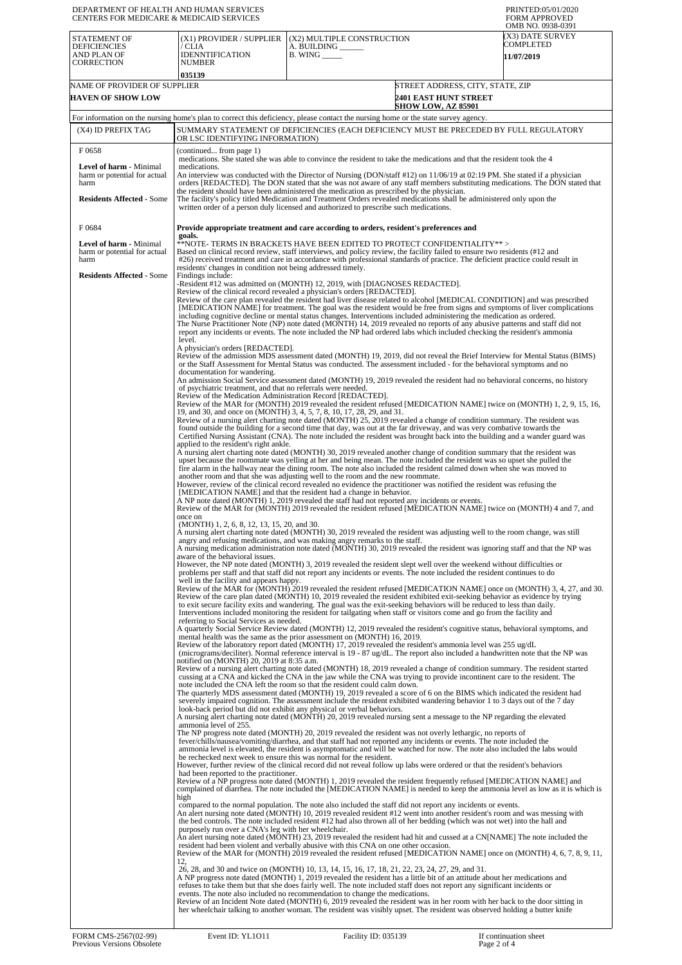| DEPARTMENT OF HEALTH AND HUMAN SERVICES<br><b>CENTERS FOR MEDICARE &amp; MEDICAID SERVICES</b>                      |                                                                                                                                                                                                                                                                                                                                                                                                                                                                                                                                                                                                                                                                                                                                                                                                                                                                                                                                                                                                                                                                                                                                                                                                                                                                                                                                                                                                                                                                                                                                                                                                                                                                                                                                                                                                                                                                                                                                                                                                                                                                                                                                                                                                                                                                                                                                                                                                                                                                                                                                                                                                                                                                                                                                                                                                                                                                                                                                                                                                                                                                                                                                                                                                                                                                                                                                                                                                                                                                                                                                                                                                                                                                                                                                                                                                                                                                                                                                                                                                                                                                                                                                                                                                                                                                                                                                                                                                                                                                                                                                                                                                                                                                                                                                                                                                                                                                                                                                                                                                                                                                                                                                                                                                                                                                                                                                                                                                                                                                                                                                                                                                                                                                                                                                                                                                                                                                                                                                                                                                                                                                                                                                                                                                                                                                                                                                                                                                                                                                                                                                                                                                                                                                                                                                                                                                                                                                                                                                                                                                                                                                                                                                                                                                                                              |                                                                                                                                    | PRINTED:05/01/2020<br><b>FORM APPROVED</b><br>OMB NO. 0938-0391 |  |  |
|---------------------------------------------------------------------------------------------------------------------|----------------------------------------------------------------------------------------------------------------------------------------------------------------------------------------------------------------------------------------------------------------------------------------------------------------------------------------------------------------------------------------------------------------------------------------------------------------------------------------------------------------------------------------------------------------------------------------------------------------------------------------------------------------------------------------------------------------------------------------------------------------------------------------------------------------------------------------------------------------------------------------------------------------------------------------------------------------------------------------------------------------------------------------------------------------------------------------------------------------------------------------------------------------------------------------------------------------------------------------------------------------------------------------------------------------------------------------------------------------------------------------------------------------------------------------------------------------------------------------------------------------------------------------------------------------------------------------------------------------------------------------------------------------------------------------------------------------------------------------------------------------------------------------------------------------------------------------------------------------------------------------------------------------------------------------------------------------------------------------------------------------------------------------------------------------------------------------------------------------------------------------------------------------------------------------------------------------------------------------------------------------------------------------------------------------------------------------------------------------------------------------------------------------------------------------------------------------------------------------------------------------------------------------------------------------------------------------------------------------------------------------------------------------------------------------------------------------------------------------------------------------------------------------------------------------------------------------------------------------------------------------------------------------------------------------------------------------------------------------------------------------------------------------------------------------------------------------------------------------------------------------------------------------------------------------------------------------------------------------------------------------------------------------------------------------------------------------------------------------------------------------------------------------------------------------------------------------------------------------------------------------------------------------------------------------------------------------------------------------------------------------------------------------------------------------------------------------------------------------------------------------------------------------------------------------------------------------------------------------------------------------------------------------------------------------------------------------------------------------------------------------------------------------------------------------------------------------------------------------------------------------------------------------------------------------------------------------------------------------------------------------------------------------------------------------------------------------------------------------------------------------------------------------------------------------------------------------------------------------------------------------------------------------------------------------------------------------------------------------------------------------------------------------------------------------------------------------------------------------------------------------------------------------------------------------------------------------------------------------------------------------------------------------------------------------------------------------------------------------------------------------------------------------------------------------------------------------------------------------------------------------------------------------------------------------------------------------------------------------------------------------------------------------------------------------------------------------------------------------------------------------------------------------------------------------------------------------------------------------------------------------------------------------------------------------------------------------------------------------------------------------------------------------------------------------------------------------------------------------------------------------------------------------------------------------------------------------------------------------------------------------------------------------------------------------------------------------------------------------------------------------------------------------------------------------------------------------------------------------------------------------------------------------------------------------------------------------------------------------------------------------------------------------------------------------------------------------------------------------------------------------------------------------------------------------------------------------------------------------------------------------------------------------------------------------------------------------------------------------------------------------------------------------------------------------------------------------------------------------------------------------------------------------------------------------------------------------------------------------------------------------------------------------------------------------------------------------------------------------------------------------------------------------------------------------------------------------------------------------------------------------------------------------------------------------------------------------------------------------------|------------------------------------------------------------------------------------------------------------------------------------|-----------------------------------------------------------------|--|--|
| <b>STATEMENT OF</b><br><b>DEFICIENCIES</b><br>AND PLAN OF<br><b>CORRECTION</b>                                      | (X1) PROVIDER / SUPPLIER<br>/ CLIA<br>IDENNTIFICATION<br>NUMBER                                                                                                                                                                                                                                                                                                                                                                                                                                                                                                                                                                                                                                                                                                                                                                                                                                                                                                                                                                                                                                                                                                                                                                                                                                                                                                                                                                                                                                                                                                                                                                                                                                                                                                                                                                                                                                                                                                                                                                                                                                                                                                                                                                                                                                                                                                                                                                                                                                                                                                                                                                                                                                                                                                                                                                                                                                                                                                                                                                                                                                                                                                                                                                                                                                                                                                                                                                                                                                                                                                                                                                                                                                                                                                                                                                                                                                                                                                                                                                                                                                                                                                                                                                                                                                                                                                                                                                                                                                                                                                                                                                                                                                                                                                                                                                                                                                                                                                                                                                                                                                                                                                                                                                                                                                                                                                                                                                                                                                                                                                                                                                                                                                                                                                                                                                                                                                                                                                                                                                                                                                                                                                                                                                                                                                                                                                                                                                                                                                                                                                                                                                                                                                                                                                                                                                                                                                                                                                                                                                                                                                                                                                                                                                              | (X2) MULTIPLE CONSTRUCTION<br>A. BUILDING ______<br>$B.$ WING $\_\_\_\_\_\_\$                                                      | (X3) DATE SURVEY<br>COMPLETED<br>11/07/2019                     |  |  |
| NAME OF PROVIDER OF SUPPLIER<br><b>HAVEN OF SHOW LOW</b>                                                            | 035139                                                                                                                                                                                                                                                                                                                                                                                                                                                                                                                                                                                                                                                                                                                                                                                                                                                                                                                                                                                                                                                                                                                                                                                                                                                                                                                                                                                                                                                                                                                                                                                                                                                                                                                                                                                                                                                                                                                                                                                                                                                                                                                                                                                                                                                                                                                                                                                                                                                                                                                                                                                                                                                                                                                                                                                                                                                                                                                                                                                                                                                                                                                                                                                                                                                                                                                                                                                                                                                                                                                                                                                                                                                                                                                                                                                                                                                                                                                                                                                                                                                                                                                                                                                                                                                                                                                                                                                                                                                                                                                                                                                                                                                                                                                                                                                                                                                                                                                                                                                                                                                                                                                                                                                                                                                                                                                                                                                                                                                                                                                                                                                                                                                                                                                                                                                                                                                                                                                                                                                                                                                                                                                                                                                                                                                                                                                                                                                                                                                                                                                                                                                                                                                                                                                                                                                                                                                                                                                                                                                                                                                                                                                                                                                                                                       | <b>2401 EAST HUNT STREET</b><br><b>SHOW LOW, AZ 85901</b>                                                                          | STREET ADDRESS, CITY, STATE, ZIP                                |  |  |
|                                                                                                                     |                                                                                                                                                                                                                                                                                                                                                                                                                                                                                                                                                                                                                                                                                                                                                                                                                                                                                                                                                                                                                                                                                                                                                                                                                                                                                                                                                                                                                                                                                                                                                                                                                                                                                                                                                                                                                                                                                                                                                                                                                                                                                                                                                                                                                                                                                                                                                                                                                                                                                                                                                                                                                                                                                                                                                                                                                                                                                                                                                                                                                                                                                                                                                                                                                                                                                                                                                                                                                                                                                                                                                                                                                                                                                                                                                                                                                                                                                                                                                                                                                                                                                                                                                                                                                                                                                                                                                                                                                                                                                                                                                                                                                                                                                                                                                                                                                                                                                                                                                                                                                                                                                                                                                                                                                                                                                                                                                                                                                                                                                                                                                                                                                                                                                                                                                                                                                                                                                                                                                                                                                                                                                                                                                                                                                                                                                                                                                                                                                                                                                                                                                                                                                                                                                                                                                                                                                                                                                                                                                                                                                                                                                                                                                                                                                                              | For information on the nursing home's plan to correct this deficiency, please contact the nursing home or the state survey agency. |                                                                 |  |  |
| (X4) ID PREFIX TAG                                                                                                  | SUMMARY STATEMENT OF DEFICIENCIES (EACH DEFICIENCY MUST BE PRECEDED BY FULL REGULATORY<br>OR LSC IDENTIFYING INFORMATION)                                                                                                                                                                                                                                                                                                                                                                                                                                                                                                                                                                                                                                                                                                                                                                                                                                                                                                                                                                                                                                                                                                                                                                                                                                                                                                                                                                                                                                                                                                                                                                                                                                                                                                                                                                                                                                                                                                                                                                                                                                                                                                                                                                                                                                                                                                                                                                                                                                                                                                                                                                                                                                                                                                                                                                                                                                                                                                                                                                                                                                                                                                                                                                                                                                                                                                                                                                                                                                                                                                                                                                                                                                                                                                                                                                                                                                                                                                                                                                                                                                                                                                                                                                                                                                                                                                                                                                                                                                                                                                                                                                                                                                                                                                                                                                                                                                                                                                                                                                                                                                                                                                                                                                                                                                                                                                                                                                                                                                                                                                                                                                                                                                                                                                                                                                                                                                                                                                                                                                                                                                                                                                                                                                                                                                                                                                                                                                                                                                                                                                                                                                                                                                                                                                                                                                                                                                                                                                                                                                                                                                                                                                                    |                                                                                                                                    |                                                                 |  |  |
| F0658<br><b>Level of harm - Minimal</b><br>harm or potential for actual<br>harm<br><b>Residents Affected - Some</b> | (continued from page 1)<br>medications. She stated she was able to convince the resident to take the medications and that the resident took the 4<br>medications.<br>An interview was conducted with the Director of Nursing (DON/staff #12) on 11/06/19 at 02:19 PM. She stated if a physician<br>orders [REDACTED]. The DON stated that she was not aware of any staff members substituting medications. The DON stated that<br>the resident should have been administered the medication as prescribed by the physician.<br>The facility's policy titled Medication and Treatment Orders revealed medications shall be administered only upon the<br>written order of a person duly licensed and authorized to prescribe such medications.                                                                                                                                                                                                                                                                                                                                                                                                                                                                                                                                                                                                                                                                                                                                                                                                                                                                                                                                                                                                                                                                                                                                                                                                                                                                                                                                                                                                                                                                                                                                                                                                                                                                                                                                                                                                                                                                                                                                                                                                                                                                                                                                                                                                                                                                                                                                                                                                                                                                                                                                                                                                                                                                                                                                                                                                                                                                                                                                                                                                                                                                                                                                                                                                                                                                                                                                                                                                                                                                                                                                                                                                                                                                                                                                                                                                                                                                                                                                                                                                                                                                                                                                                                                                                                                                                                                                                                                                                                                                                                                                                                                                                                                                                                                                                                                                                                                                                                                                                                                                                                                                                                                                                                                                                                                                                                                                                                                                                                                                                                                                                                                                                                                                                                                                                                                                                                                                                                                                                                                                                                                                                                                                                                                                                                                                                                                                                                                                                                                                                                |                                                                                                                                    |                                                                 |  |  |
|                                                                                                                     |                                                                                                                                                                                                                                                                                                                                                                                                                                                                                                                                                                                                                                                                                                                                                                                                                                                                                                                                                                                                                                                                                                                                                                                                                                                                                                                                                                                                                                                                                                                                                                                                                                                                                                                                                                                                                                                                                                                                                                                                                                                                                                                                                                                                                                                                                                                                                                                                                                                                                                                                                                                                                                                                                                                                                                                                                                                                                                                                                                                                                                                                                                                                                                                                                                                                                                                                                                                                                                                                                                                                                                                                                                                                                                                                                                                                                                                                                                                                                                                                                                                                                                                                                                                                                                                                                                                                                                                                                                                                                                                                                                                                                                                                                                                                                                                                                                                                                                                                                                                                                                                                                                                                                                                                                                                                                                                                                                                                                                                                                                                                                                                                                                                                                                                                                                                                                                                                                                                                                                                                                                                                                                                                                                                                                                                                                                                                                                                                                                                                                                                                                                                                                                                                                                                                                                                                                                                                                                                                                                                                                                                                                                                                                                                                                                              |                                                                                                                                    |                                                                 |  |  |
| F0684<br>Level of harm - Minimal<br>harm or potential for actual<br>harm<br><b>Residents Affected - Some</b>        | Provide appropriate treatment and care according to orders, resident's preferences and<br>goals.<br>**NOTE- TERMS IN BRACKETS HAVE BEEN EDITED TO PROTECT CONFIDENTIALITY**><br>Based on clinical record review, staff interviews, and policy review, the facility failed to ensure two residents (#12 and<br>#26) received treatment and care in accordance with professional standards of practice. The deficient practice could result in<br>residents' changes in condition not being addressed timely.                                                                                                                                                                                                                                                                                                                                                                                                                                                                                                                                                                                                                                                                                                                                                                                                                                                                                                                                                                                                                                                                                                                                                                                                                                                                                                                                                                                                                                                                                                                                                                                                                                                                                                                                                                                                                                                                                                                                                                                                                                                                                                                                                                                                                                                                                                                                                                                                                                                                                                                                                                                                                                                                                                                                                                                                                                                                                                                                                                                                                                                                                                                                                                                                                                                                                                                                                                                                                                                                                                                                                                                                                                                                                                                                                                                                                                                                                                                                                                                                                                                                                                                                                                                                                                                                                                                                                                                                                                                                                                                                                                                                                                                                                                                                                                                                                                                                                                                                                                                                                                                                                                                                                                                                                                                                                                                                                                                                                                                                                                                                                                                                                                                                                                                                                                                                                                                                                                                                                                                                                                                                                                                                                                                                                                                                                                                                                                                                                                                                                                                                                                                                                                                                                                                                  |                                                                                                                                    |                                                                 |  |  |
|                                                                                                                     | Findings include:<br>-Resident #12 was admitted on (MONTH) 12, 2019, with [DIAGNOSES REDACTED].<br>Review of the clinical record revealed a physician's orders [REDACTED].<br>Review of the care plan revealed the resident had liver disease related to alcohol [MEDICAL CONDITION] and was prescribed<br>[MEDICATION NAME] for treatment. The goal was the resident would be free from signs and symptoms of liver complications<br>including cognitive decline or mental status changes. Interventions included administering the medication as ordered.<br>The Nurse Practitioner Note (NP) note dated (MONTH) 14, 2019 revealed no reports of any abusive patterns and staff did not<br>report any incidents or events. The note included the NP had ordered labs which included checking the resident's ammonia<br>level.<br>A physician's orders [REDACTED].<br>Review of the admission MDS assessment dated (MONTH) 19, 2019, did not reveal the Brief Interview for Mental Status (BIMS)<br>or the Staff Assessment for Mental Status was conducted. The assessment included - for the behavioral symptoms and no<br>documentation for wandering.<br>An admission Social Service assessment dated (MONTH) 19, 2019 revealed the resident had no behavioral concerns, no history<br>of psychiatric treatment, and that no referrals were needed.<br>Review of the Medication Administration Record [REDACTED].<br>Review of the MAR for (MONTH) 2019 revealed the resident refused [MEDICATION NAME] twice on (MONTH) 1, 2, 9, 15, 16,<br>19, and 30, and once on (MONTH) 3, 4, 5, 7, 8, 10, 17, 28, 29, and 31.<br>Review of a nursing alert charting note dated (MONTH) 25, 2019 revealed a change of condition summary. The resident was<br>found outside the building for a second time that day, was out at the far driveway, and was very combative towards the<br>Certified Nursing Assistant (CNA). The note included the resident was brought back into the building and a wander guard was<br>applied to the resident's right ankle.<br>A nursing alert charting note dated (MONTH) 30, 2019 revealed another change of condition summary that the resident was<br>upset because the roommate was yelling at her and being mean. The note included the resident was so upset she pulled the<br>fire alarm in the hallway near the dining room. The note also included the resident calmed down when she was moved to<br>another room and that she was adjusting well to the room and the new roommate.<br>However, review of the clinical record revealed no evidence the practitioner was notified the resident was refusing the<br>[MEDICATION NAME] and that the resident had a change in behavior.<br>A NP note dated (MONTH) 1, 2019 revealed the staff had not reported any incidents or events.<br>Review of the MAR for (MONTH) 2019 revealed the resident refused [MEDICATION NAME] twice on (MONTH) 4 and 7, and<br>once on<br>(MONTH) 1, 2, 6, 8, 12, 13, 15, 20, and 30.<br>A nursing alert charting note dated (MONTH) 30, 2019 revealed the resident was adjusting well to the room change, was still<br>angry and refusing medications, and was making angry remarks to the staff.<br>A nursing medication administration note dated (MONTH) 30, 2019 revealed the resident was ignoring staff and that the NP was<br>aware of the behavioral issues.<br>However, the NP note dated (MONTH) 3, 2019 revealed the resident slept well over the weekend without difficulties or<br>problems per staff and that staff did not report any incidents or events. The note included the resident continues to do<br>well in the facility and appears happy.<br>Review of the MAR for (MONTH) 2019 revealed the resident refused [MEDICATION NAME] once on (MONTH) 3, 4, 27, and 30.<br>Review of the care plan dated (MONTH) 10, 2019 revealed the resident exhibited exit-seeking behavior as evidence by trying<br>to exit secure facility exits and wandering. The goal was the exit-seeking behaviors will be reduced to less than daily.<br>Interventions included monitoring the resident for tailgating when staff or visitors come and go from the facility and<br>referring to Social Services as needed.<br>A quarterly Social Service Review dated (MONTH) 12, 2019 revealed the resident's cognitive status, behavioral symptoms, and<br>mental health was the same as the prior assessment on (MONTH) 16, 2019.<br>Review of the laboratory report dated (MONTH) 17, 2019 revealed the resident's ammonia level was 255 ug/dL<br>(micrograms/deciliter). Normal reference interval is 19 - 87 ug/dL. The report also included a handwritten note that the NP was<br>notified on (MONTH) 20, 2019 at 8:35 a.m.<br>Review of a nursing alert charting note dated (MONTH) 18, 2019 revealed a change of condition summary. The resident started<br>cussing at a CNA and kicked the CNA in the jaw while the CNA was trying to provide incontinent care to the resident. The<br>note included the CNA left the room so that the resident could calm down.<br>The quarterly MDS assessment dated (MONTH) 19, 2019 revealed a score of 6 on the BIMS which indicated the resident had<br>severely impaired cognition. The assessment include the resident exhibited wandering behavior 1 to 3 days out of the 7 day<br>look-back period but did not exhibit any physical or verbal behaviors.<br>A nursing alert charting note dated (MONTH) 20, 2019 revealed nursing sent a message to the NP regarding the elevated<br>ammonia level of 255.<br>The NP progress note dated (MONTH) 20, 2019 revealed the resident was not overly lethargic, no reports of<br>fever/chills/nausea/vomiting/diarrhea, and that staff had not reported any incidents or events. The note included the<br>ammonia level is elevated, the resident is asymptomatic and will be watched for now. The note also included the labs would<br>be rechecked next week to ensure this was normal for the resident.<br>However, further review of the clinical record did not reveal follow up labs were ordered or that the resident's behaviors<br>had been reported to the practitioner.<br>Review of a NP progress note dated (MONTH) 1, 2019 revealed the resident frequently refused [MEDICATION NAME] and<br>complained of diarrhea. The note included the [MEDICATION NAME] is needed to keep the ammonia level as low as it is which is<br>high<br>compared to the normal population. The note also included the staff did not report any incidents or events.<br>An alert nursing note dated (MONTH) 10, 2019 revealed resident #12 went into another resident's room and was messing with<br>the bed controls. The note included resident #12 had also thrown all of her bedding (which was not wet) into the hall and<br>purposely run over a CNA's leg with her wheelchair.<br>An alert nursing note dated (MONTH) 23, 2019 revealed the resident had hit and cussed at a CN[NAME] The note included the<br>resident had been violent and verbally abusive with this CNA on one other occasion.<br>Review of the MAR for (MONTH) 2019 revealed the resident refused [MEDICATION NAME] once on (MONTH) 4, 6, 7, 8, 9, 11, |                                                                                                                                    |                                                                 |  |  |
|                                                                                                                     | 26, 28, and 30 and twice on (MONTH) 10, 13, 14, 15, 16, 17, 18, 21, 22, 23, 24, 27, 29, and 31.<br>A NP progress note dated (MONTH) 1, 2019 revealed the resident has a little bit of an attitude about her medications and<br>refuses to take them but that she does fairly well. The note included staff does not report any significant incidents or<br>events. The note also included no recommendation to change the medications.<br>Review of an Incident Note dated (MONTH) 6, 2019 revealed the resident was in her room with her back to the door sitting in<br>her wheelchair talking to another woman. The resident was visibly upset. The resident was observed holding a butter knife                                                                                                                                                                                                                                                                                                                                                                                                                                                                                                                                                                                                                                                                                                                                                                                                                                                                                                                                                                                                                                                                                                                                                                                                                                                                                                                                                                                                                                                                                                                                                                                                                                                                                                                                                                                                                                                                                                                                                                                                                                                                                                                                                                                                                                                                                                                                                                                                                                                                                                                                                                                                                                                                                                                                                                                                                                                                                                                                                                                                                                                                                                                                                                                                                                                                                                                                                                                                                                                                                                                                                                                                                                                                                                                                                                                                                                                                                                                                                                                                                                                                                                                                                                                                                                                                                                                                                                                                                                                                                                                                                                                                                                                                                                                                                                                                                                                                                                                                                                                                                                                                                                                                                                                                                                                                                                                                                                                                                                                                                                                                                                                                                                                                                                                                                                                                                                                                                                                                                                                                                                                                                                                                                                                                                                                                                                                                                                                                                                                                                                                                           |                                                                                                                                    |                                                                 |  |  |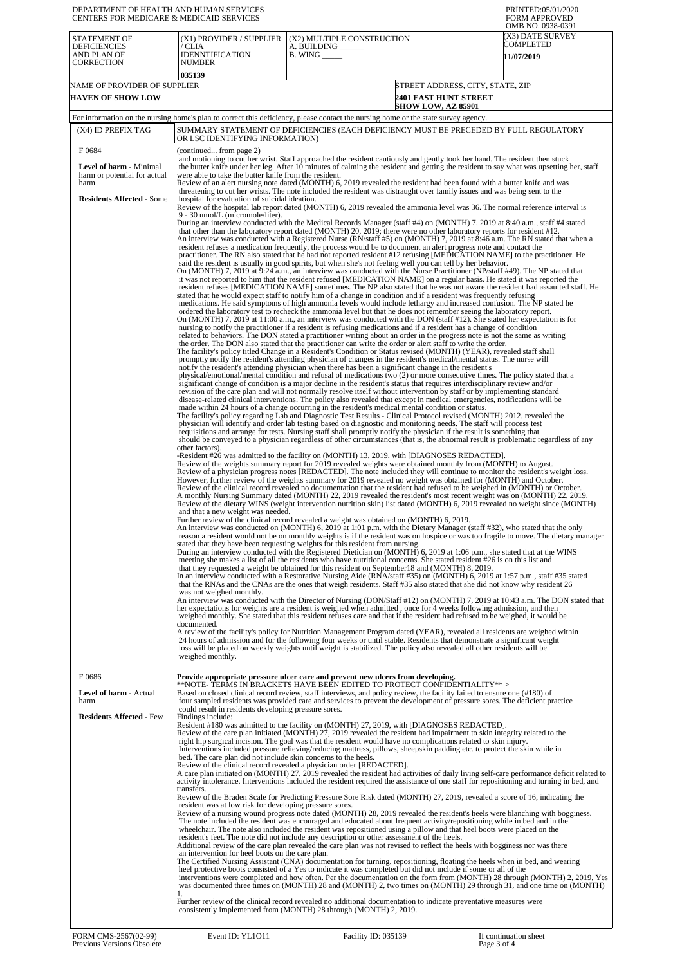| DEPARTMENT OF HEALTH AND HUMAN SERVICES<br>CENTERS FOR MEDICARE & MEDICAID SERVICES                        |                                                                                                                                                                                                                                                                                                                                                                                                                                                                                                                                                                                                                                                                                                                                                                                                                                                                                                                                                                                                                                                                                                                                                                                                                                                                                                                                                                                                                                                                                                               |                                                                                                                                                                                                                                                                                                                                                                                                                                                                                                                                                                                                                                                                                                                                                                                                                                                                                                                                                                                                                                                                                                                                                                                                                                                                                                                                                                                                                                                                                                                                                                                                                                                                                                                                                                                                                                                                                                                                                                                                                                                                                                                                                                                                                                                                                                                                                                                                                                                                                                                                                                                                                                                                                                                                                                                                                                                                                                                                                                                                                                                                                                                                                                                                                                                                                                                                                                                                                                                                                                                                                                                                                                                                                                                                                                                                                                                                                                                                                                                                                                                                                                                                                                                                                                                                                                                                                                                                                                                                                                                                                                                                                                                                                                                                                                                                                                                                                                                                                                                                                                                                                                                                                                                                                                                                                                                                                                                                                                                                                                                                                                                                                                                                                                                                                                                                                                                                                                                                                                                                                                                                                                                                                                                                                                 | PRINTED:05/01/2020<br><b>FORM APPROVED</b><br>OMB NO. 0938-0391 |  |  |
|------------------------------------------------------------------------------------------------------------|---------------------------------------------------------------------------------------------------------------------------------------------------------------------------------------------------------------------------------------------------------------------------------------------------------------------------------------------------------------------------------------------------------------------------------------------------------------------------------------------------------------------------------------------------------------------------------------------------------------------------------------------------------------------------------------------------------------------------------------------------------------------------------------------------------------------------------------------------------------------------------------------------------------------------------------------------------------------------------------------------------------------------------------------------------------------------------------------------------------------------------------------------------------------------------------------------------------------------------------------------------------------------------------------------------------------------------------------------------------------------------------------------------------------------------------------------------------------------------------------------------------|---------------------------------------------------------------------------------------------------------------------------------------------------------------------------------------------------------------------------------------------------------------------------------------------------------------------------------------------------------------------------------------------------------------------------------------------------------------------------------------------------------------------------------------------------------------------------------------------------------------------------------------------------------------------------------------------------------------------------------------------------------------------------------------------------------------------------------------------------------------------------------------------------------------------------------------------------------------------------------------------------------------------------------------------------------------------------------------------------------------------------------------------------------------------------------------------------------------------------------------------------------------------------------------------------------------------------------------------------------------------------------------------------------------------------------------------------------------------------------------------------------------------------------------------------------------------------------------------------------------------------------------------------------------------------------------------------------------------------------------------------------------------------------------------------------------------------------------------------------------------------------------------------------------------------------------------------------------------------------------------------------------------------------------------------------------------------------------------------------------------------------------------------------------------------------------------------------------------------------------------------------------------------------------------------------------------------------------------------------------------------------------------------------------------------------------------------------------------------------------------------------------------------------------------------------------------------------------------------------------------------------------------------------------------------------------------------------------------------------------------------------------------------------------------------------------------------------------------------------------------------------------------------------------------------------------------------------------------------------------------------------------------------------------------------------------------------------------------------------------------------------------------------------------------------------------------------------------------------------------------------------------------------------------------------------------------------------------------------------------------------------------------------------------------------------------------------------------------------------------------------------------------------------------------------------------------------------------------------------------------------------------------------------------------------------------------------------------------------------------------------------------------------------------------------------------------------------------------------------------------------------------------------------------------------------------------------------------------------------------------------------------------------------------------------------------------------------------------------------------------------------------------------------------------------------------------------------------------------------------------------------------------------------------------------------------------------------------------------------------------------------------------------------------------------------------------------------------------------------------------------------------------------------------------------------------------------------------------------------------------------------------------------------------------------------------------------------------------------------------------------------------------------------------------------------------------------------------------------------------------------------------------------------------------------------------------------------------------------------------------------------------------------------------------------------------------------------------------------------------------------------------------------------------------------------------------------------------------------------------------------------------------------------------------------------------------------------------------------------------------------------------------------------------------------------------------------------------------------------------------------------------------------------------------------------------------------------------------------------------------------------------------------------------------------------------------------------------------------------------------------------------------------------------------------------------------------------------------------------------------------------------------------------------------------------------------------------------------------------------------------------------------------------------------------------------------------------------------------------------------------------------------------------------------------------------------------------------------------------|-----------------------------------------------------------------|--|--|
| <b>STATEMENT OF</b><br><b>DEFICIENCIES</b><br>AND PLAN OF<br><b>CORRECTION</b>                             | (X1) PROVIDER / SUPPLIER<br>/ CLIA<br><b>IDENNTIFICATION</b><br><b>NUMBER</b><br>035139                                                                                                                                                                                                                                                                                                                                                                                                                                                                                                                                                                                                                                                                                                                                                                                                                                                                                                                                                                                                                                                                                                                                                                                                                                                                                                                                                                                                                       | (X2) MULTIPLE CONSTRUCTION<br>A. BUILDING<br><b>B.</b> WING ______                                                                                                                                                                                                                                                                                                                                                                                                                                                                                                                                                                                                                                                                                                                                                                                                                                                                                                                                                                                                                                                                                                                                                                                                                                                                                                                                                                                                                                                                                                                                                                                                                                                                                                                                                                                                                                                                                                                                                                                                                                                                                                                                                                                                                                                                                                                                                                                                                                                                                                                                                                                                                                                                                                                                                                                                                                                                                                                                                                                                                                                                                                                                                                                                                                                                                                                                                                                                                                                                                                                                                                                                                                                                                                                                                                                                                                                                                                                                                                                                                                                                                                                                                                                                                                                                                                                                                                                                                                                                                                                                                                                                                                                                                                                                                                                                                                                                                                                                                                                                                                                                                                                                                                                                                                                                                                                                                                                                                                                                                                                                                                                                                                                                                                                                                                                                                                                                                                                                                                                                                                                                                                                                                              | (X3) DATE SURVEY<br>COMPLETED<br><b>11/07/2019</b>              |  |  |
| NAME OF PROVIDER OF SUPPLIER<br><b>HAVEN OF SHOW LOW</b>                                                   |                                                                                                                                                                                                                                                                                                                                                                                                                                                                                                                                                                                                                                                                                                                                                                                                                                                                                                                                                                                                                                                                                                                                                                                                                                                                                                                                                                                                                                                                                                               | STREET ADDRESS, CITY, STATE, ZIP<br><b>2401 EAST HUNT STREET</b><br><b>SHOW LOW, AZ 85901</b>                                                                                                                                                                                                                                                                                                                                                                                                                                                                                                                                                                                                                                                                                                                                                                                                                                                                                                                                                                                                                                                                                                                                                                                                                                                                                                                                                                                                                                                                                                                                                                                                                                                                                                                                                                                                                                                                                                                                                                                                                                                                                                                                                                                                                                                                                                                                                                                                                                                                                                                                                                                                                                                                                                                                                                                                                                                                                                                                                                                                                                                                                                                                                                                                                                                                                                                                                                                                                                                                                                                                                                                                                                                                                                                                                                                                                                                                                                                                                                                                                                                                                                                                                                                                                                                                                                                                                                                                                                                                                                                                                                                                                                                                                                                                                                                                                                                                                                                                                                                                                                                                                                                                                                                                                                                                                                                                                                                                                                                                                                                                                                                                                                                                                                                                                                                                                                                                                                                                                                                                                                                                                                                                   |                                                                 |  |  |
|                                                                                                            |                                                                                                                                                                                                                                                                                                                                                                                                                                                                                                                                                                                                                                                                                                                                                                                                                                                                                                                                                                                                                                                                                                                                                                                                                                                                                                                                                                                                                                                                                                               | For information on the nursing home's plan to correct this deficiency, please contact the nursing home or the state survey agency.                                                                                                                                                                                                                                                                                                                                                                                                                                                                                                                                                                                                                                                                                                                                                                                                                                                                                                                                                                                                                                                                                                                                                                                                                                                                                                                                                                                                                                                                                                                                                                                                                                                                                                                                                                                                                                                                                                                                                                                                                                                                                                                                                                                                                                                                                                                                                                                                                                                                                                                                                                                                                                                                                                                                                                                                                                                                                                                                                                                                                                                                                                                                                                                                                                                                                                                                                                                                                                                                                                                                                                                                                                                                                                                                                                                                                                                                                                                                                                                                                                                                                                                                                                                                                                                                                                                                                                                                                                                                                                                                                                                                                                                                                                                                                                                                                                                                                                                                                                                                                                                                                                                                                                                                                                                                                                                                                                                                                                                                                                                                                                                                                                                                                                                                                                                                                                                                                                                                                                                                                                                                                              |                                                                 |  |  |
| (X4) ID PREFIX TAG                                                                                         |                                                                                                                                                                                                                                                                                                                                                                                                                                                                                                                                                                                                                                                                                                                                                                                                                                                                                                                                                                                                                                                                                                                                                                                                                                                                                                                                                                                                                                                                                                               | SUMMARY STATEMENT OF DEFICIENCIES (EACH DEFICIENCY MUST BE PRECEDED BY FULL REGULATORY                                                                                                                                                                                                                                                                                                                                                                                                                                                                                                                                                                                                                                                                                                                                                                                                                                                                                                                                                                                                                                                                                                                                                                                                                                                                                                                                                                                                                                                                                                                                                                                                                                                                                                                                                                                                                                                                                                                                                                                                                                                                                                                                                                                                                                                                                                                                                                                                                                                                                                                                                                                                                                                                                                                                                                                                                                                                                                                                                                                                                                                                                                                                                                                                                                                                                                                                                                                                                                                                                                                                                                                                                                                                                                                                                                                                                                                                                                                                                                                                                                                                                                                                                                                                                                                                                                                                                                                                                                                                                                                                                                                                                                                                                                                                                                                                                                                                                                                                                                                                                                                                                                                                                                                                                                                                                                                                                                                                                                                                                                                                                                                                                                                                                                                                                                                                                                                                                                                                                                                                                                                                                                                                          |                                                                 |  |  |
| F0684                                                                                                      | OR LSC IDENTIFYING INFORMATION)                                                                                                                                                                                                                                                                                                                                                                                                                                                                                                                                                                                                                                                                                                                                                                                                                                                                                                                                                                                                                                                                                                                                                                                                                                                                                                                                                                                                                                                                               |                                                                                                                                                                                                                                                                                                                                                                                                                                                                                                                                                                                                                                                                                                                                                                                                                                                                                                                                                                                                                                                                                                                                                                                                                                                                                                                                                                                                                                                                                                                                                                                                                                                                                                                                                                                                                                                                                                                                                                                                                                                                                                                                                                                                                                                                                                                                                                                                                                                                                                                                                                                                                                                                                                                                                                                                                                                                                                                                                                                                                                                                                                                                                                                                                                                                                                                                                                                                                                                                                                                                                                                                                                                                                                                                                                                                                                                                                                                                                                                                                                                                                                                                                                                                                                                                                                                                                                                                                                                                                                                                                                                                                                                                                                                                                                                                                                                                                                                                                                                                                                                                                                                                                                                                                                                                                                                                                                                                                                                                                                                                                                                                                                                                                                                                                                                                                                                                                                                                                                                                                                                                                                                                                                                                                                 |                                                                 |  |  |
| <b>Level of harm - Minimal</b><br>harm or potential for actual<br>harm<br><b>Residents Affected - Some</b> | (continued from page 2)<br>and motioning to cut her wrist. Staff approached the resident cautiously and gently took her hand. The resident then stuck<br>the butter knife under her leg. After 10 minutes of calming the resident and getting the resident to say what was upsetting her, staff<br>were able to take the butter knife from the resident.<br>Review of an alert nursing note dated (MONTH) 6, 2019 revealed the resident had been found with a butter knife and was<br>threatening to cut her wrists. The note included the resident was distraught over family issues and was being sent to the<br>hospital for evaluation of suicidal ideation.<br>Review of the hospital lab report dated (MONTH) 6, 2019 revealed the ammonia level was 36. The normal reference interval is<br>9 - 30 umol/L (micromole/liter).                                                                                                                                                                                                                                                                                                                                                                                                                                                                                                                                                                                                                                                                           |                                                                                                                                                                                                                                                                                                                                                                                                                                                                                                                                                                                                                                                                                                                                                                                                                                                                                                                                                                                                                                                                                                                                                                                                                                                                                                                                                                                                                                                                                                                                                                                                                                                                                                                                                                                                                                                                                                                                                                                                                                                                                                                                                                                                                                                                                                                                                                                                                                                                                                                                                                                                                                                                                                                                                                                                                                                                                                                                                                                                                                                                                                                                                                                                                                                                                                                                                                                                                                                                                                                                                                                                                                                                                                                                                                                                                                                                                                                                                                                                                                                                                                                                                                                                                                                                                                                                                                                                                                                                                                                                                                                                                                                                                                                                                                                                                                                                                                                                                                                                                                                                                                                                                                                                                                                                                                                                                                                                                                                                                                                                                                                                                                                                                                                                                                                                                                                                                                                                                                                                                                                                                                                                                                                                                                 |                                                                 |  |  |
|                                                                                                            | other factors).<br>and that a new weight was needed.<br>was not weighed monthly.<br>documented.<br>weighed monthly.                                                                                                                                                                                                                                                                                                                                                                                                                                                                                                                                                                                                                                                                                                                                                                                                                                                                                                                                                                                                                                                                                                                                                                                                                                                                                                                                                                                           | During an interview conducted with the Medical Records Manager (staff #4) on (MONTH) 7, 2019 at 8:40 a.m., staff #4 stated<br>that other than the laboratory report dated (MONTH) 20, 2019; there were no other laboratory reports for resident #12.<br>An interview was conducted with a Registered Nurse (RN/staff #5) on (MONTH) 7, 2019 at 8:46 a.m. The RN stated that when a<br>resident refuses a medication frequently, the process would be to document an alert progress note and contact the<br>practitioner. The RN also stated that he had not reported resident #12 refusing [MEDICATION NAME] to the practitioner. He<br>said the resident is usually in good spirits, but when she's not feeling well you can tell by her behavior.<br>On (MONTH) 7, 2019 at 9:24 a.m., an interview was conducted with the Nurse Practitioner (NP/staff #49). The NP stated that<br>it was not reported to him that the resident refused [MEDICATION NAME] on a regular basis. He stated it was reported the<br>resident refuses [MEDICATION NAME] sometimes. The NP also stated that he was not aware the resident had assaulted staff. He<br>stated that he would expect staff to notify him of a change in condition and if a resident was frequently refusing<br>medications. He said symptoms of high ammonia levels would include lethargy and increased confusion. The NP stated he<br>ordered the laboratory test to recheck the ammonia level but that he does not remember seeing the laboratory report.<br>On (MONTH) 7, 2019 at 11:00 a.m., an interview was conducted with the DON (staff #12). She stated her expectation is for<br>nursing to notify the practitioner if a resident is refusing medications and if a resident has a change of condition<br>related to behaviors. The DON stated a practitioner writing about an order in the progress note is not the same as writing<br>the order. The DON also stated that the practitioner can write the order or alert staff to write the order.<br>The facility's policy titled Change in a Resident's Condition or Status revised (MONTH) (YEAR), revealed staff shall<br>promptly notify the resident's attending physician of changes in the resident's medical/mental status. The nurse will<br>notify the resident's attending physician when there has been a significant change in the resident's<br>physical/emotional/mental condition and refusal of medications two (2) or more consecutive times. The policy stated that a<br>significant change of condition is a major decline in the resident's status that requires interdisciplinary review and/or<br>revision of the care plan and will not normally resolve itself without intervention by staff or by implementing standard<br>disease-related clinical interventions. The policy also revealed that except in medical emergencies, notifications will be<br>made within 24 hours of a change occurring in the resident's medical mental condition or status.<br>The facility's policy regarding Lab and Diagnostic Test Results - Clinical Protocol revised (MONTH) 2012, revealed the<br>physician will identify and order lab testing based on diagnostic and monitoring needs. The staff will process test<br>requisitions and arrange for tests. Nursing staff shall promptly notify the physician if the result is something that<br>should be conveyed to a physician regardless of other circumstances (that is, the abnormal result is problematic regardless of any<br>-Resident #26 was admitted to the facility on (MONTH) 13, 2019, with [DIAGNOSES REDACTED].<br>Review of the weights summary report for 2019 revealed weights were obtained monthly from (MONTH) to August.<br>Review of a physician progress notes [REDACTED]. The note included they will continue to monitor the resident's weight loss.<br>However, further review of the weights summary for 2019 revealed no weight was obtained for (MONTH) and October.<br>Review of the clinical record revealed no documentation that the resident had refused to be weighed in (MONTH) or October.<br>A monthly Nursing Summary dated (MONTH) 22, 2019 revealed the resident's most recent weight was on (MONTH) 22, 2019.<br>Review of the dietary WINS (weight intervention nutrition skin) list dated (MONTH) 6, 2019 revealed no weight since (MONTH)<br>Further review of the clinical record revealed a weight was obtained on (MONTH) 6, 2019.<br>An interview was conducted on (MONTH) 6, 2019 at 1:01 p.m. with the Dietary Manager (staff #32), who stated that the only<br>reason a resident would not be on monthly weights is if the resident was on hospice or was too fragile to move. The dietary manager<br>stated that they have been requesting weights for this resident from nursing.<br>During an interview conducted with the Registered Dietician on (MONTH) 6, 2019 at 1:06 p.m., she stated that at the WINS<br>meeting she makes a list of all the residents who have nutritional concerns. She stated resident #26 is on this list and<br>that they requested a weight be obtained for this resident on September 18 and (MONTH) 8, 2019.<br>In an interview conducted with a Restorative Nursing Aide (RNA/staff #35) on (MONTH) 6, 2019 at 1:57 p.m., staff #35 stated<br>that the RNAs and the CNAs are the ones that weigh residents. Staff #35 also stated that she did not know why resident 26<br>An interview was conducted with the Director of Nursing (DON/Staff #12) on (MONTH) 7, 2019 at 10:43 a.m. The DON stated that<br>her expectations for weights are a resident is weighed when admitted, once for 4 weeks following admission, and then<br>weighed monthly. She stated that this resident refuses care and that if the resident had refused to be weighed, it would be<br>A review of the facility's policy for Nutrition Management Program dated (YEAR), revealed all residents are weighed within<br>24 hours of admission and for the following four weeks or until stable. Residents that demonstrate a significant weight<br>loss will be placed on weekly weights until weight is stabilized. The policy also revealed all other residents will be |                                                                 |  |  |
| F0686<br><b>Level of harm - Actual</b><br>harm<br><b>Residents Affected - Few</b>                          | could result in residents developing pressure sores.<br>Findings include:<br>bed. The care plan did not include skin concerns to the heels.                                                                                                                                                                                                                                                                                                                                                                                                                                                                                                                                                                                                                                                                                                                                                                                                                                                                                                                                                                                                                                                                                                                                                                                                                                                                                                                                                                   | Provide appropriate pressure ulcer care and prevent new ulcers from developing.<br>**NOTE- TERMS IN BRACKETS HAVE BEEN EDITED TO PROTECT CONFIDENTIALITY**><br>Based on closed clinical record review, staff interviews, and policy review, the facility failed to ensure one (#180) of<br>four sampled residents was provided care and services to prevent the development of pressure sores. The deficient practice<br>Resident #180 was admitted to the facility on (MONTH) 27, 2019, with [DIAGNOSES REDACTED].<br>Review of the care plan initiated (MONTH) 27, 2019 revealed the resident had impairment to skin integrity related to the<br>right hip surgical incision. The goal was that the resident would have no complications related to skin injury.<br>Interventions included pressure relieving/reducing mattress, pillows, sheepskin padding etc. to protect the skin while in<br>Review of the clinical record revealed a physician order [REDACTED].<br>A care plan initiated on (MONTH) 27, 2019 revealed the resident had activities of daily living self-care performance deficit related to<br>activity intolerance. Interventions included the resident required the assistance of one staff for repositioning and turning in bed, and                                                                                                                                                                                                                                                                                                                                                                                                                                                                                                                                                                                                                                                                                                                                                                                                                                                                                                                                                                                                                                                                                                                                                                                                                                                                                                                                                                                                                                                                                                                                                                                                                                                                                                                                                                                                                                                                                                                                                                                                                                                                                                                                                                                                                                                                                                                                                                                                                                                                                                                                                                                                                                                                                                                                                                                                                                                                                                                                                                                                                                                                                                                                                                                                                                                                                                                                                                                                                                                                                                                                                                                                                                                                                                                                                                                                                                                                                                                                                                                                                                                                                                                                                                                                                                                                                                                                                                                                                                                                                                                                                                                                                                                                                                                                                                                                                                                                                                                                                                  |                                                                 |  |  |
|                                                                                                            | transfers.<br>Review of the Braden Scale for Predicting Pressure Sore Risk dated (MONTH) 27, 2019, revealed a score of 16, indicating the<br>resident was at low risk for developing pressure sores.<br>Review of a nursing wound progress note dated (MONTH) 28, 2019 revealed the resident's heels were blanching with bogginess.<br>The note included the resident was encouraged and educated about frequent activity/repositioning while in bed and in the<br>wheelchair. The note also included the resident was repositioned using a pillow and that heel boots were placed on the<br>resident's feet. The note did not include any description or other assessment of the heels.<br>Additional review of the care plan revealed the care plan was not revised to reflect the heels with bogginess nor was there<br>an intervention for heel boots on the care plan.<br>The Certified Nursing Assistant (CNA) documentation for turning, repositioning, floating the heels when in bed, and wearing<br>heel protective boots consisted of a Yes to indicate it was completed but did not include if some or all of the<br>interventions were completed and how often. Per the documentation on the form from (MONTH) 28 through (MONTH) 2, 2019, Yes<br>was documented three times on (MONTH) 28 and (MONTH) 2, two times on (MONTH) 29 through 31, and one time on (MONTH)<br>1.<br>Further review of the clinical record revealed no additional documentation to indicate preventative measures were |                                                                                                                                                                                                                                                                                                                                                                                                                                                                                                                                                                                                                                                                                                                                                                                                                                                                                                                                                                                                                                                                                                                                                                                                                                                                                                                                                                                                                                                                                                                                                                                                                                                                                                                                                                                                                                                                                                                                                                                                                                                                                                                                                                                                                                                                                                                                                                                                                                                                                                                                                                                                                                                                                                                                                                                                                                                                                                                                                                                                                                                                                                                                                                                                                                                                                                                                                                                                                                                                                                                                                                                                                                                                                                                                                                                                                                                                                                                                                                                                                                                                                                                                                                                                                                                                                                                                                                                                                                                                                                                                                                                                                                                                                                                                                                                                                                                                                                                                                                                                                                                                                                                                                                                                                                                                                                                                                                                                                                                                                                                                                                                                                                                                                                                                                                                                                                                                                                                                                                                                                                                                                                                                                                                                                                 |                                                                 |  |  |
| EOPM CMS $2567(0200)$                                                                                      | $Fvant$ ID: VI 1011                                                                                                                                                                                                                                                                                                                                                                                                                                                                                                                                                                                                                                                                                                                                                                                                                                                                                                                                                                                                                                                                                                                                                                                                                                                                                                                                                                                                                                                                                           | consistently implemented from (MONTH) 28 through (MONTH) 2, 2019.<br>Facility ID: 035130                                                                                                                                                                                                                                                                                                                                                                                                                                                                                                                                                                                                                                                                                                                                                                                                                                                                                                                                                                                                                                                                                                                                                                                                                                                                                                                                                                                                                                                                                                                                                                                                                                                                                                                                                                                                                                                                                                                                                                                                                                                                                                                                                                                                                                                                                                                                                                                                                                                                                                                                                                                                                                                                                                                                                                                                                                                                                                                                                                                                                                                                                                                                                                                                                                                                                                                                                                                                                                                                                                                                                                                                                                                                                                                                                                                                                                                                                                                                                                                                                                                                                                                                                                                                                                                                                                                                                                                                                                                                                                                                                                                                                                                                                                                                                                                                                                                                                                                                                                                                                                                                                                                                                                                                                                                                                                                                                                                                                                                                                                                                                                                                                                                                                                                                                                                                                                                                                                                                                                                                                                                                                                                                        | If continuation cheet                                           |  |  |